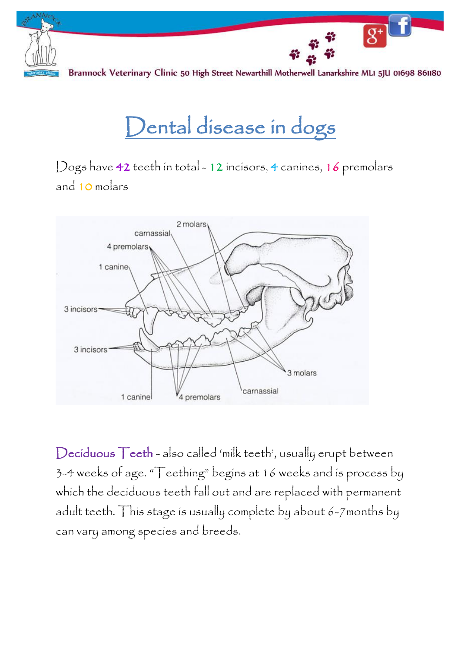

# Dental disease in dogs

Dogs have 42 teeth in total - 12 incisors, 4 canines, 16 premolars and 10 molars



Deciduous Teeth - also called 'milk teeth', usually erupt between 3-4 weeks of age. "Teething" begins at 16 weeks and is process by which the deciduous teeth fall out and are replaced with permanent adult teeth. This stage is usually complete by about 6-7months by can vary among species and breeds.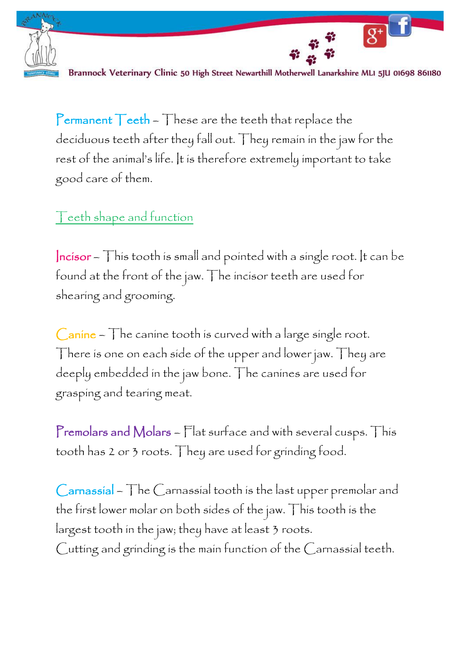

 $8 + 1$ 

Permanent  $\top$  eeth  $\sim$   $\top$  hese are the teeth that replace the deciduous teeth after they fall out. They remain in the jaw for the rest of the animal's life. It is therefore extremely important to take good care of them.

#### Teeth shape and function

 $|ncisor - Th$  is tooth is small and pointed with a single root. It can be found at the front of the jaw. The incisor teeth are used for shearing and grooming.

 $Canine - The canine tooth is curved with a large single root.$ There is one on each side of the upper and lower jaw. They are deeply embedded in the jaw bone. The canines are used for grasping and tearing meat.

Premolars and Molars – Flat surface and with several cusps. This tooth has 2 or 3 roots. They are used for grinding food.

Carnassial – The Carnassial tooth is the last upper premolar and the first lower molar on both sides of the jaw. This tooth is the largest tooth in the jaw; they have at least 3 roots. Cutting and grinding is the main function of the Carnassial teeth.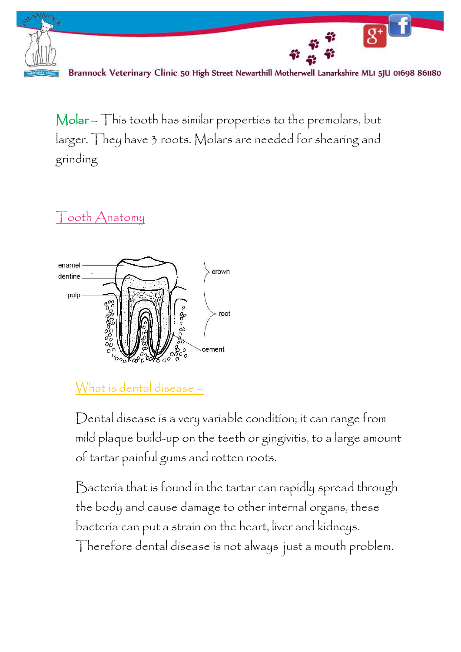

Molar – This tooth has similar properties to the premolars, but larger. They have 3 roots. Molars are needed for shearing and grinding

Tooth Anatomy



What is dental disease –

Dental disease is a very variable condition; it can range from mild plaque build-up on the teeth or gingivitis, to a large amount of tartar painful gums and rotten roots.

Bacteria that is found in the tartar can rapidly spread through the body and cause damage to other internal organs, these bacteria can put a strain on the heart, liver and kidneys. Therefore dental disease is not always just a mouth problem.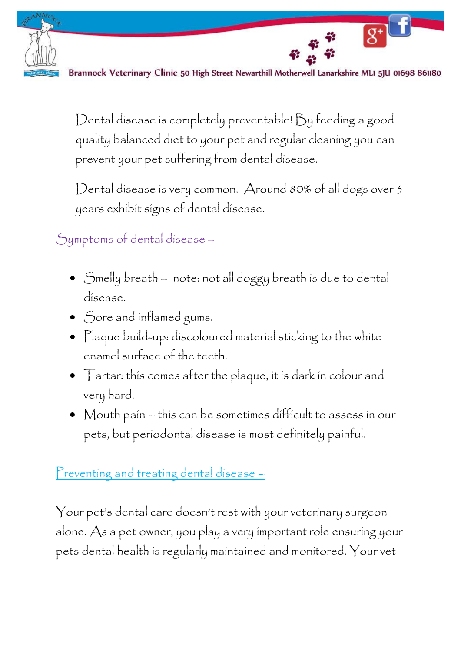

 $8 + 1$ 

Dental disease is completely preventable! By feeding a good quality balanced diet to your pet and regular cleaning you can prevent your pet suffering from dental disease.

Dental disease is very common. Around 80% of all dogs over 3 years exhibit signs of dental disease.

Symptoms of dental disease –

- Smelly breath note: not all doggy breath is due to dental disease.
- Sore and inflamed gums.
- Plaque build-up: discoloured material sticking to the white enamel surface of the teeth.
- Tartar: this comes after the plaque, it is dark in colour and very hard.
- Mouth pain this can be sometimes difficult to assess in our pets, but periodontal disease is most definitely painful.

## Preventing and treating dental disease -

Your pet's dental care doesn't rest with your veterinary surgeon alone. As a pet owner, you play a very important role ensuring your pets dental health is regularly maintained and monitored. Your vet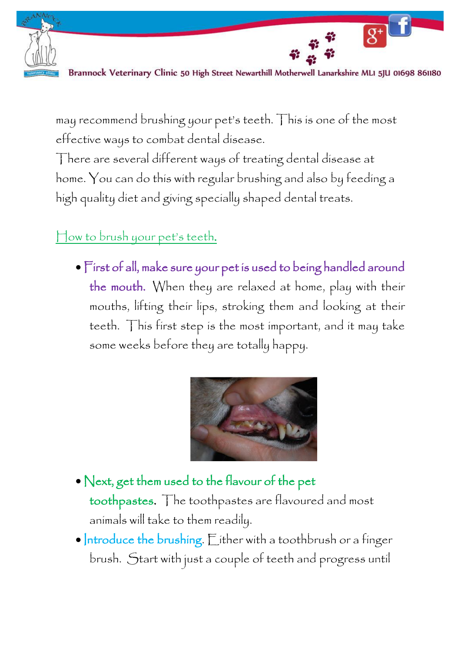

 $\overline{g^+}$ 

may recommend brushing your pet's teeth. This is one of the most effective ways to combat dental disease.

There are several different ways of treating dental disease at home. You can do this with regular brushing and also by feeding a high quality diet and giving specially shaped dental treats.

#### How to brush your pet's teeth.

 First of all, make sure your pet is used to being handled around the mouth. When they are relaxed at home, play with their mouths, lifting their lips, stroking them and looking at their teeth. This first step is the most important, and it may take some weeks before they are totally happy.



- Next, get them used to the flavour of the pet toothpastes. The toothpastes are flavoured and most animals will take to them readily.
- $\bullet$  Introduce the brushing. Either with a toothbrush or a finger brush. Start with just a couple of teeth and progress until